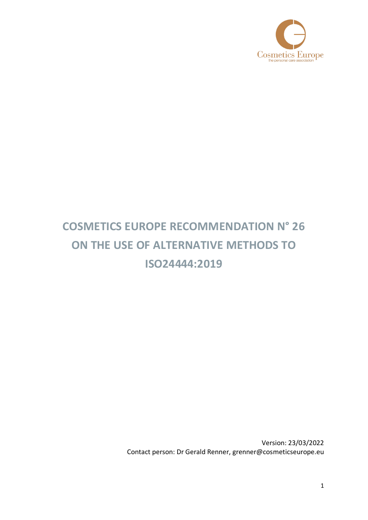

## **COSMETICS EUROPE RECOMMENDATION N° 26 ON THE USE OF ALTERNATIVE METHODS TO ISO24444:2019**

Version: 23/03/2022 Contact person: Dr Gerald Renner, grenner@cosmeticseurope.eu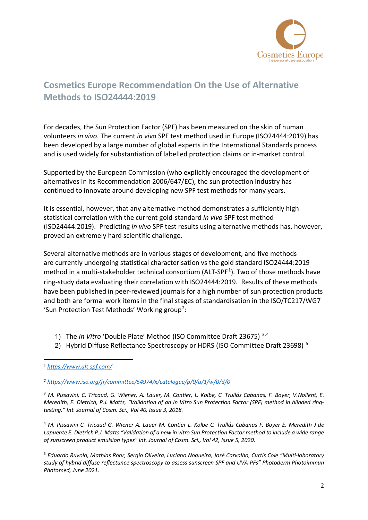

## **Cosmetics Europe Recommendation On the Use of Alternative Methods to ISO24444:2019**

For decades, the Sun Protection Factor (SPF) has been measured on the skin of human volunteers *in vivo*. The current *in vivo* SPF test method used in Europe (ISO24444:2019) has been developed by a large number of global experts in the International Standards process and is used widely for substantiation of labelled protection claims or in-market control.

Supported by the European Commission (who explicitly encouraged the development of alternatives in its Recommendation 2006/647/EC), the sun protection industry has continued to innovate around developing new SPF test methods for many years.

It is essential, however, that any alternative method demonstrates a sufficiently high statistical correlation with the current gold-standard *in vivo* SPF test method (ISO24444:2019). Predicting *in vivo* SPF test results using alternative methods has, however, proved an extremely hard scientific challenge.

Several alternative methods are in various stages of development, and five methods are currently undergoing statistical characterisation vs the gold standard ISO24444:2019 method in a multi-stakeholder technical consortium (ALT-SPF<sup>[1](#page-1-0)</sup>). Two of those methods have ring-study data evaluating their correlation with ISO24444:2019. Results of these methods have been published in peer-reviewed journals for a high number of sun protection products and both are formal work items in the final stages of standardisation in the ISO/TC217/WG7 'Sun Protection Test Methods' Working group<sup>[2](#page-1-1)</sup>:

- 1) The *In Vitro* 'Double Plate' Method (ISO Committee Draft 23675) [3](#page-1-2),[4](#page-1-3)
- 2) Hybrid Diffuse Reflectance Spectroscopy or HDRS (ISO Committee Draft 23698)<sup>[5](#page-1-4)</sup>

<span id="page-1-2"></span><sup>3</sup> *M. Pissavini, C. Tricaud, G. Wiener, A. Lauer, M. Contier, L. Kolbe, C. Trullás Cabanas, F. Boyer, V.Nollent, E. Meredith, E. Dietrich, P.J. Matts, "Validation of an In Vitro Sun Protection Factor (SPF) method in blinded ringtesting." Int. Journal of Cosm. Sci., Vol 40, Issue 3, 2018.*

<span id="page-1-3"></span><sup>4</sup> *M. Pissavini C. Tricaud G. Wiener A. Lauer M. Contier L. Kolbe C. Trullás Cabanas F. Boyer E. Meredith J de Lapuente E. Dietrich P.J. Matts "Validation of a new in vitro Sun Protection Factor method to include a wide range of sunscreen product emulsion types" Int. Journal of Cosm. Sci., Vol 42, Issue 5, 2020.*

<span id="page-1-4"></span><sup>5</sup> *Eduardo Ruvolo, Mathias Rohr, Sergio Oliveira, Luciano Nogueira, José Carvalho, Curtis Cole "Multi-laboratory study of hybrid diffuse reflectance spectroscopy to assess sunscreen SPF and UVA-PFs" Photoderm Photoimmun Photomed, June 2021.*

<span id="page-1-0"></span>*<sup>1</sup> <https://www.alt-spf.com/>*

<span id="page-1-1"></span>*<sup>2</sup> [https://www.iso.org/fr/committee/54974/x/catalogue/p/0/u/1/w/0/d/0](https://eur02.safelinks.protection.outlook.com/?url=https%3A%2F%2Fwww.iso.org%2Ffr%2Fcommittee%2F54974%2Fx%2Fcatalogue%2Fp%2F0%2Fu%2F1%2Fw%2F0%2Fd%2F0&data=04%7C01%7Cmkennedy%40cosmeticseurope.eu%7C9c4a64fed39046e478c008d9a8eef866%7C49492bedb17644fdb980d3891e88f00c%7C0%7C0%7C637726566616744559%7CUnknown%7CTWFpbGZsb3d8eyJWIjoiMC4wLjAwMDAiLCJQIjoiV2luMzIiLCJBTiI6Ik1haWwiLCJXVCI6Mn0%3D%7C0&sdata=sOCZ0DYMhesk5wQsnt0qQd4IVVV4y3zGSCSJZGyz8sQ%3D&reserved=0)*